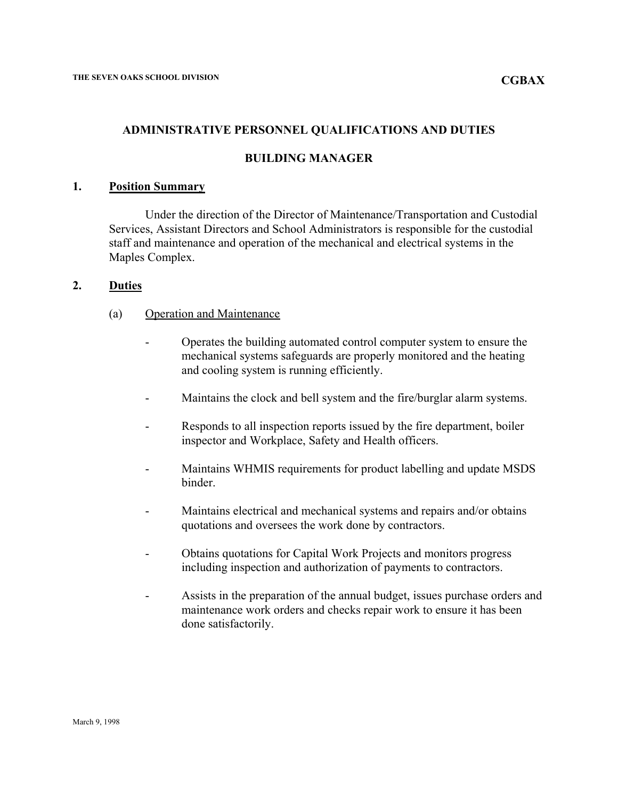## **ADMINISTRATIVE PERSONNEL QUALIFICATIONS AND DUTIES**

### **BUILDING MANAGER**

### **1. Position Summary**

Under the direction of the Director of Maintenance/Transportation and Custodial Services, Assistant Directors and School Administrators is responsible for the custodial staff and maintenance and operation of the mechanical and electrical systems in the Maples Complex.

### **2. Duties**

- (a) Operation and Maintenance
	- Operates the building automated control computer system to ensure the mechanical systems safeguards are properly monitored and the heating and cooling system is running efficiently.
	- Maintains the clock and bell system and the fire/burglar alarm systems.
	- Responds to all inspection reports issued by the fire department, boiler inspector and Workplace, Safety and Health officers.
	- Maintains WHMIS requirements for product labelling and update MSDS binder.
	- Maintains electrical and mechanical systems and repairs and/or obtains quotations and oversees the work done by contractors.
	- Obtains quotations for Capital Work Projects and monitors progress including inspection and authorization of payments to contractors.
	- Assists in the preparation of the annual budget, issues purchase orders and maintenance work orders and checks repair work to ensure it has been done satisfactorily.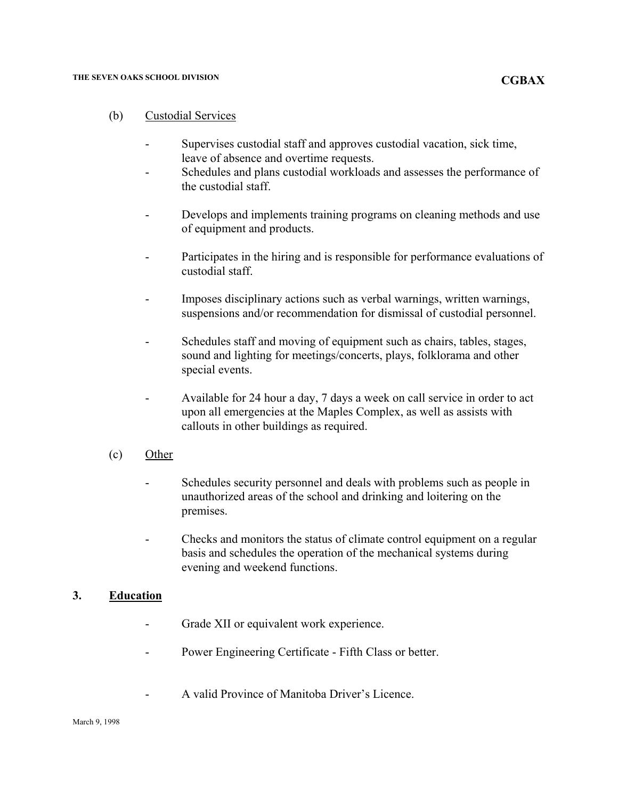#### **THE SEVEN OAKS SCHOOL DIVISION**

- Supervises custodial staff and approves custodial vacation, sick time, leave of absence and overtime requests.
- Schedules and plans custodial workloads and assesses the performance of the custodial staff.
- Develops and implements training programs on cleaning methods and use of equipment and products.
- Participates in the hiring and is responsible for performance evaluations of custodial staff.
- Imposes disciplinary actions such as verbal warnings, written warnings, suspensions and/or recommendation for dismissal of custodial personnel.
- Schedules staff and moving of equipment such as chairs, tables, stages, sound and lighting for meetings/concerts, plays, folklorama and other special events.
- Available for 24 hour a day, 7 days a week on call service in order to act upon all emergencies at the Maples Complex, as well as assists with callouts in other buildings as required.
- (c) Other
	- Schedules security personnel and deals with problems such as people in unauthorized areas of the school and drinking and loitering on the premises.
	- Checks and monitors the status of climate control equipment on a regular basis and schedules the operation of the mechanical systems during evening and weekend functions.

## **3. Education**

- Grade XII or equivalent work experience.
- Power Engineering Certificate Fifth Class or better.
- A valid Province of Manitoba Driver's Licence.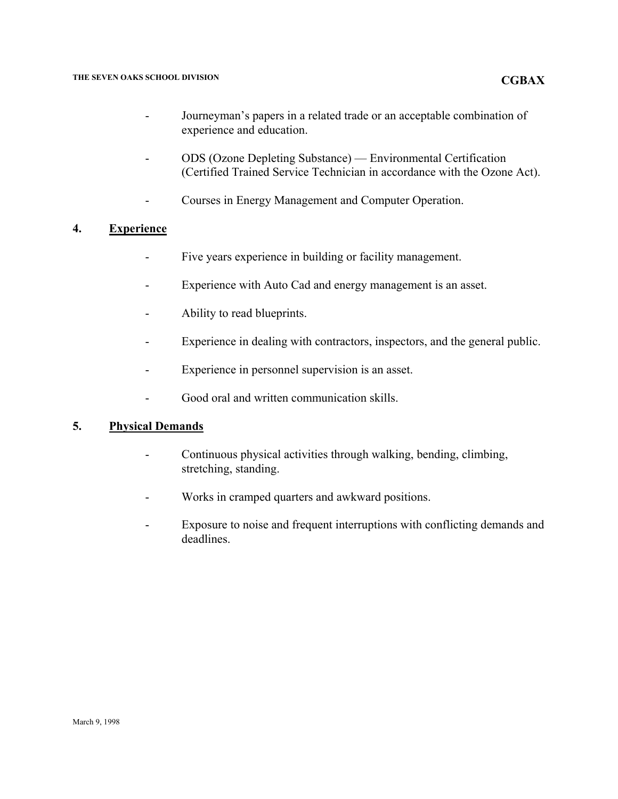- Journeyman's papers in a related trade or an acceptable combination of experience and education.
- ODS (Ozone Depleting Substance) Environmental Certification (Certified Trained Service Technician in accordance with the Ozone Act).
- Courses in Energy Management and Computer Operation.

# **4. Experience**

- Five years experience in building or facility management.
- Experience with Auto Cad and energy management is an asset.
- Ability to read blueprints.
- Experience in dealing with contractors, inspectors, and the general public.
- Experience in personnel supervision is an asset.
- Good oral and written communication skills.

## **5. Physical Demands**

- Continuous physical activities through walking, bending, climbing, stretching, standing.
- Works in cramped quarters and awkward positions.
- Exposure to noise and frequent interruptions with conflicting demands and deadlines.